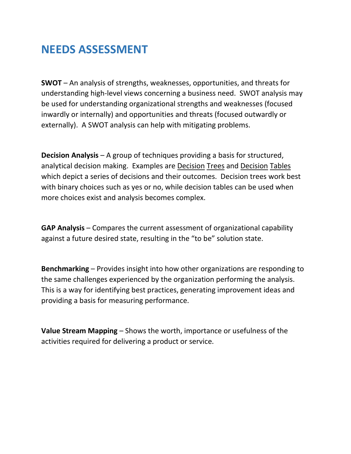## **NEEDS ASSESSMENT**

**SWOT** – An analysis of strengths, weaknesses, opportunities, and threats for understanding high-level views concerning a business need. SWOT analysis may be used for understanding organizational strengths and weaknesses (focused inwardly or internally) and opportunities and threats (focused outwardly or externally). A SWOT analysis can help with mitigating problems.

**Decision Analysis** – A group of techniques providing a basis for structured, analytical decision making. Examples are Decision Trees and Decision Tables which depict a series of decisions and their outcomes. Decision trees work best with binary choices such as yes or no, while decision tables can be used when more choices exist and analysis becomes complex.

**GAP Analysis** – Compares the current assessment of organizational capability against a future desired state, resulting in the "to be" solution state.

**Benchmarking** – Provides insight into how other organizations are responding to the same challenges experienced by the organization performing the analysis. This is a way for identifying best practices, generating improvement ideas and providing a basis for measuring performance.

**Value Stream Mapping** – Shows the worth, importance or usefulness of the activities required for delivering a product or service.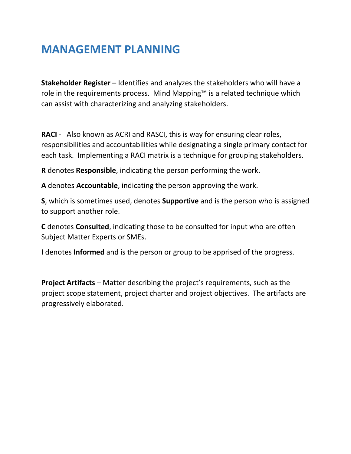## **MANAGEMENT PLANNING**

**Stakeholder Register** – Identifies and analyzes the stakeholders who will have a role in the requirements process. Mind Mapping™ is a related technique which can assist with characterizing and analyzing stakeholders.

**RACI** - Also known as ACRI and RASCI, this is way for ensuring clear roles, responsibilities and accountabilities while designating a single primary contact for each task. Implementing a RACI matrix is a technique for grouping stakeholders.

**R** denotes **Responsible**, indicating the person performing the work.

**A** denotes **Accountable**, indicating the person approving the work.

**S**, which is sometimes used, denotes **Supportive** and is the person who is assigned to support another role.

**C** denotes **Consulted**, indicating those to be consulted for input who are often Subject Matter Experts or SMEs.

**I** denotes **Informed** and is the person or group to be apprised of the progress.

**Project Artifacts** – Matter describing the project's requirements, such as the project scope statement, project charter and project objectives. The artifacts are progressively elaborated.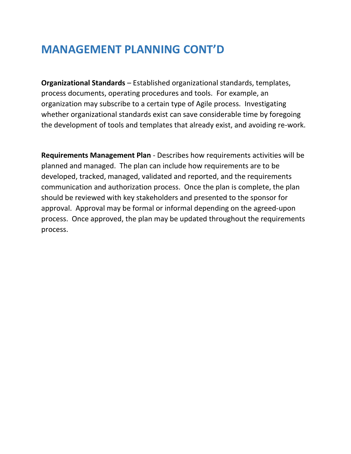## **MANAGEMENT PLANNING CONT'D**

**Organizational Standards** – Established organizational standards, templates, process documents, operating procedures and tools. For example, an organization may subscribe to a certain type of Agile process. Investigating whether organizational standards exist can save considerable time by foregoing the development of tools and templates that already exist, and avoiding re-work.

**Requirements Management Plan** - Describes how requirements activities will be planned and managed. The plan can include how requirements are to be developed, tracked, managed, validated and reported, and the requirements communication and authorization process. Once the plan is complete, the plan should be reviewed with key stakeholders and presented to the sponsor for approval. Approval may be formal or informal depending on the agreed-upon process. Once approved, the plan may be updated throughout the requirements process.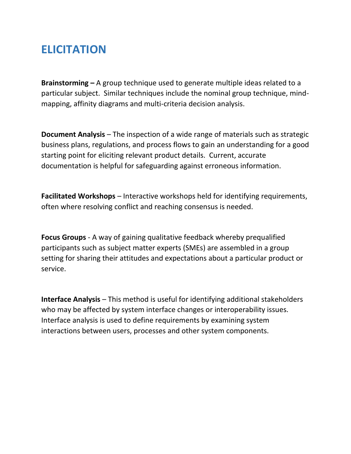## **ELICITATION**

**Brainstorming –** A group technique used to generate multiple ideas related to a particular subject. Similar techniques include the nominal group technique, mindmapping, affinity diagrams and multi-criteria decision analysis.

**Document Analysis** – The inspection of a wide range of materials such as strategic business plans, regulations, and process flows to gain an understanding for a good starting point for eliciting relevant product details. Current, accurate documentation is helpful for safeguarding against erroneous information.

**Facilitated Workshops** – Interactive workshops held for identifying requirements, often where resolving conflict and reaching consensus is needed.

**Focus Groups** - A way of gaining qualitative feedback whereby prequalified participants such as subject matter experts (SMEs) are assembled in a group setting for sharing their attitudes and expectations about a particular product or service.

**Interface Analysis** – This method is useful for identifying additional stakeholders who may be affected by system interface changes or interoperability issues. Interface analysis is used to define requirements by examining system interactions between users, processes and other system components.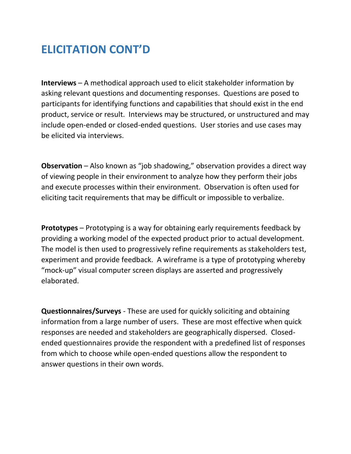# **ELICITATION CONT'D**

**Interviews** – A methodical approach used to elicit stakeholder information by asking relevant questions and documenting responses. Questions are posed to participants for identifying functions and capabilities that should exist in the end product, service or result. Interviews may be structured, or unstructured and may include open-ended or closed-ended questions. User stories and use cases may be elicited via interviews.

**Observation** – Also known as "job shadowing," observation provides a direct way of viewing people in their environment to analyze how they perform their jobs and execute processes within their environment. Observation is often used for eliciting tacit requirements that may be difficult or impossible to verbalize.

**Prototypes** – Prototyping is a way for obtaining early requirements feedback by providing a working model of the expected product prior to actual development. The model is then used to progressively refine requirements as stakeholders test, experiment and provide feedback. A wireframe is a type of prototyping whereby "mock-up" visual computer screen displays are asserted and progressively elaborated.

**Questionnaires/Surveys** - These are used for quickly soliciting and obtaining information from a large number of users. These are most effective when quick responses are needed and stakeholders are geographically dispersed. Closedended questionnaires provide the respondent with a predefined list of responses from which to choose while open-ended questions allow the respondent to answer questions in their own words.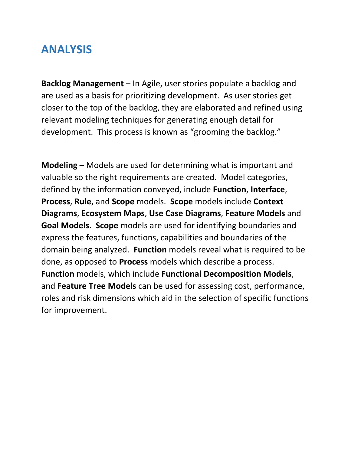#### **ANALYSIS**

**Backlog Management** – In Agile, user stories populate a backlog and are used as a basis for prioritizing development. As user stories get closer to the top of the backlog, they are elaborated and refined using relevant modeling techniques for generating enough detail for development. This process is known as "grooming the backlog."

**Modeling** – Models are used for determining what is important and valuable so the right requirements are created. Model categories, defined by the information conveyed, include **Function**, **Interface**, **Process**, **Rule**, and **Scope** models. **Scope** models include **Context Diagrams**, **Ecosystem Maps**, **Use Case Diagrams**, **Feature Models** and **Goal Models**. **Scope** models are used for identifying boundaries and express the features, functions, capabilities and boundaries of the domain being analyzed. **Function** models reveal what is required to be done, as opposed to **Process** models which describe a process. **Function** models, which include **Functional Decomposition Models**, and **Feature Tree Models** can be used for assessing cost, performance, roles and risk dimensions which aid in the selection of specific functions for improvement.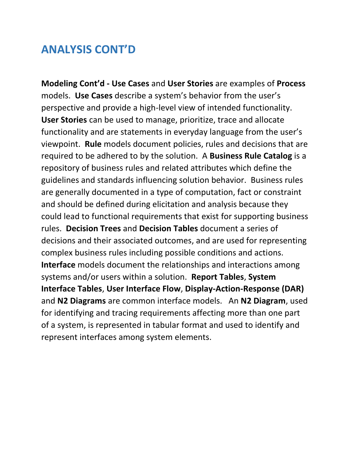### **ANALYSIS CONT'D**

**Modeling Cont'd - Use Cases** and **User Stories** are examples of **Process**  models. **Use Cases** describe a system's behavior from the user's perspective and provide a high-level view of intended functionality. **User Stories** can be used to manage, prioritize, trace and allocate functionality and are statements in everyday language from the user's viewpoint. **Rule** models document policies, rules and decisions that are required to be adhered to by the solution. A **Business Rule Catalog** is a repository of business rules and related attributes which define the guidelines and standards influencing solution behavior. Business rules are generally documented in a type of computation, fact or constraint and should be defined during elicitation and analysis because they could lead to functional requirements that exist for supporting business rules. **Decision Trees** and **Decision Tables** document a series of decisions and their associated outcomes, and are used for representing complex business rules including possible conditions and actions. **Interface** models document the relationships and interactions among systems and/or users within a solution. **Report Tables**, **System Interface Tables**, **User Interface Flow**, **Display-Action-Response (DAR)** and **N2 Diagrams** are common interface models. An **N2 Diagram**, used for identifying and tracing requirements affecting more than one part of a system, is represented in tabular format and used to identify and represent interfaces among system elements.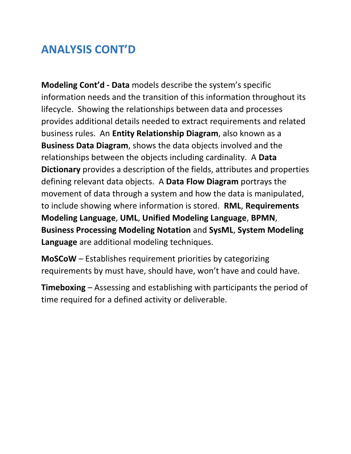# **ANALYSIS CONT'D**

**Modeling Cont'd - Data** models describe the system's specific information needs and the transition of this information throughout its lifecycle. Showing the relationships between data and processes provides additional details needed to extract requirements and related business rules. An **Entity Relationship Diagram**, also known as a **Business Data Diagram**, shows the data objects involved and the relationships between the objects including cardinality. A **Data Dictionary** provides a description of the fields, attributes and properties defining relevant data objects. A **Data Flow Diagram** portrays the movement of data through a system and how the data is manipulated, to include showing where information is stored. **RML**, **Requirements Modeling Language**, **UML**, **Unified Modeling Language**, **BPMN**, **Business Processing Modeling Notation** and **SysML**, **System Modeling Language** are additional modeling techniques.

**MoSCoW** – Establishes requirement priorities by categorizing requirements by must have, should have, won't have and could have.

**Timeboxing** – Assessing and establishing with participants the period of time required for a defined activity or deliverable.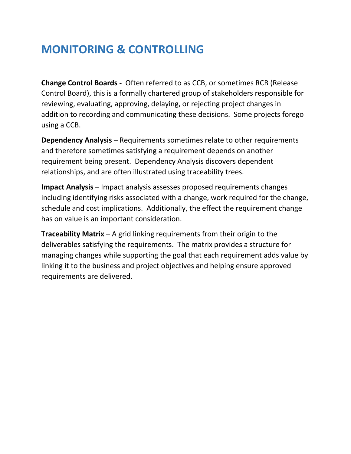# **MONITORING & CONTROLLING**

**Change Control Boards -** Often referred to as CCB, or sometimes RCB (Release Control Board), this is a formally chartered group of stakeholders responsible for reviewing, evaluating, approving, delaying, or rejecting project changes in addition to recording and communicating these decisions. Some projects forego using a CCB.

**Dependency Analysis** – Requirements sometimes relate to other requirements and therefore sometimes satisfying a requirement depends on another requirement being present. Dependency Analysis discovers dependent relationships, and are often illustrated using traceability trees.

**Impact Analysis** – Impact analysis assesses proposed requirements changes including identifying risks associated with a change, work required for the change, schedule and cost implications. Additionally, the effect the requirement change has on value is an important consideration.

**Traceability Matrix** – A grid linking requirements from their origin to the deliverables satisfying the requirements. The matrix provides a structure for managing changes while supporting the goal that each requirement adds value by linking it to the business and project objectives and helping ensure approved requirements are delivered.